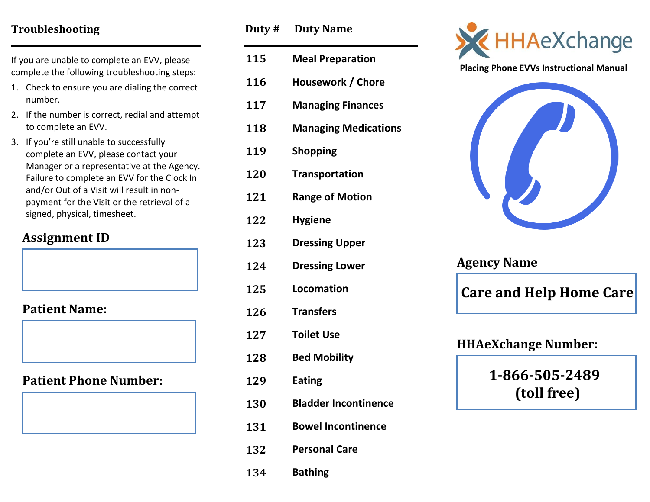## **Troubleshooting**

If you are unable to complete an EVV, please complete the following troubleshooting steps:

- 1. Check to ensure you are dialing the correct number.
- 2. If the number is correct, redial and attempt to complete an EVV.
- 3. If you're still unable to successfully complete an EVV, please contact your Manager or a representative at the Agency. Failure to complete an EVV for the Clock In and/or Out of a Visit will result in nonpayment for the Visit or the retrieval of a signed, physical, timesheet.

# **Assignment ID**

**Patient Name:**

**Patient Phone Number:**

| Duty # | <b>Duty Name</b>            |
|--------|-----------------------------|
| 115    | <b>Meal Preparation</b>     |
| 116    | Housework / Chore           |
| 117    | <b>Managing Finances</b>    |
| 118    | <b>Managing Medications</b> |
| 119    | <b>Shopping</b>             |
| 120    | <b>Transportation</b>       |
| 121    | <b>Range of Motion</b>      |
| 122    | <b>Hygiene</b>              |
| 123    | <b>Dressing Upper</b>       |
| 124    | <b>Dressing Lower</b>       |
| 125    | Locomation                  |
| 126    | <b>Transfers</b>            |
| 127    | <b>Toilet Use</b>           |
| 128    | <b>Bed Mobility</b>         |
| 129    | <b>Eating</b>               |
| 130    | <b>Bladder Incontinence</b> |
| 131    | <b>Bowel Incontinence</b>   |
| 132    | <b>Personal Care</b>        |





**Placing Phone EVVs Instructional Manual**



| <b>Agency Name</b> |                                |
|--------------------|--------------------------------|
|                    | <b>Care and Help Home Care</b> |
|                    | <b>HHAeXchange Number:</b>     |
|                    | 1-866-505-2489                 |
|                    | (toll free)                    |